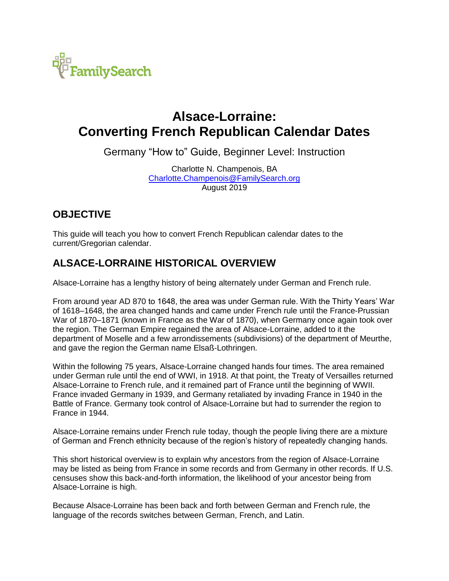

## **Alsace-Lorraine: Converting French Republican Calendar Dates**

Germany "How to" Guide, Beginner Level: Instruction

Charlotte N. Champenois, BA [Charlotte.Champenois@FamilySearch.org](mailto:Charlotte.Champenois@FamilySearch.org) August 2019

## **OBJECTIVE**

This guide will teach you how to convert French Republican calendar dates to the current/Gregorian calendar.

## **ALSACE-LORRAINE HISTORICAL OVERVIEW**

Alsace-Lorraine has a lengthy history of being alternately under German and French rule.

From around year AD 870 to 1648, the area was under German rule. With the Thirty Years' War of 1618–1648, the area changed hands and came under French rule until the France-Prussian War of 1870–1871 (known in France as the War of 1870), when Germany once again took over the region. The German Empire regained the area of Alsace-Lorraine, added to it the department of Moselle and a few arrondissements (subdivisions) of the department of Meurthe, and gave the region the German name Elsaß-Lothringen.

Within the following 75 years, Alsace-Lorraine changed hands four times. The area remained under German rule until the end of WWI, in 1918. At that point, the Treaty of Versailles returned Alsace-Lorraine to French rule, and it remained part of France until the beginning of WWII. France invaded Germany in 1939, and Germany retaliated by invading France in 1940 in the Battle of France. Germany took control of Alsace-Lorraine but had to surrender the region to France in 1944.

Alsace-Lorraine remains under French rule today, though the people living there are a mixture of German and French ethnicity because of the region's history of repeatedly changing hands.

This short historical overview is to explain why ancestors from the region of Alsace-Lorraine may be listed as being from France in some records and from Germany in other records. If U.S. censuses show this back-and-forth information, the likelihood of your ancestor being from Alsace-Lorraine is high.

Because Alsace-Lorraine has been back and forth between German and French rule, the language of the records switches between German, French, and Latin.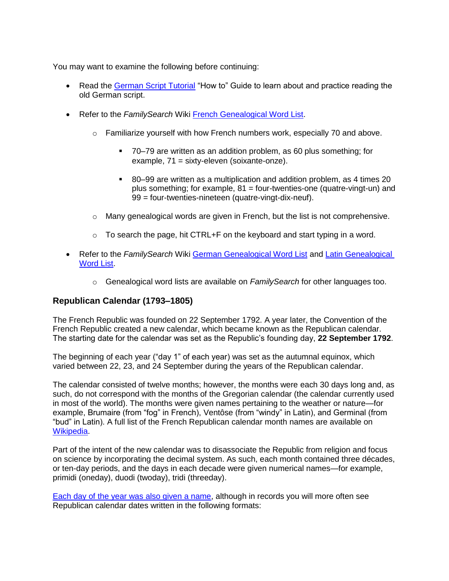You may want to examine the following before continuing:

- Read the [German Script Tutorial](https://s3.amazonaws.com/ps-services-us-east-1-914248642252/s3/research-wiki-elasticsearch-prod-s3bucket/images/c/cf/1-German_Script-Instruction.pdf) "How to" Guide to learn about and practice reading the old German script.
- Refer to the *FamilySearch* Wiki [French Genealogical Word List.](https://www.familysearch.org/wiki/en/French_Genealogical_Word_List)
	- $\circ$  Familiarize yourself with how French numbers work, especially 70 and above.
		- 70–79 are written as an addition problem, as 60 plus something; for example, 71 = sixty-eleven (soixante-onze).
		- 80–99 are written as a multiplication and addition problem, as 4 times 20 plus something; for example, 81 = four-twenties-one (quatre-vingt-un) and 99 = four-twenties-nineteen (quatre-vingt-dix-neuf).
	- $\circ$  Many genealogical words are given in French, but the list is not comprehensive.
	- $\circ$  To search the page, hit CTRL+F on the keyboard and start typing in a word.
- Refer to the *FamilySearch* Wiki [German Genealogical Word List](https://www.familysearch.org/wiki/en/German_Genealogical_Word_List) and [Latin Genealogical](https://www.familysearch.org/wiki/en/Latin_Genealogical_Word_List)  [Word List.](https://www.familysearch.org/wiki/en/Latin_Genealogical_Word_List)
	- o Genealogical word lists are available on *FamilySearch* for other languages too.

## **Republican Calendar (1793–1805)**

The French Republic was founded on 22 September 1792. A year later, the Convention of the French Republic created a new calendar, which became known as the Republican calendar. The starting date for the calendar was set as the Republic's founding day, **22 September 1792**.

The beginning of each year ("day 1" of each year) was set as the autumnal equinox, which varied between 22, 23, and 24 September during the years of the Republican calendar.

The calendar consisted of twelve months; however, the months were each 30 days long and, as such, do not correspond with the months of the Gregorian calendar (the calendar currently used in most of the world). The months were given names pertaining to the weather or nature—for example, Brumaire (from "fog" in French), Ventôse (from "windy" in Latin), and Germinal (from "bud" in Latin). A full list of the French Republican calendar month names are available on [Wikipedia.](https://en.wikipedia.org/wiki/French_Republican_calendar#Months)

Part of the intent of the new calendar was to disassociate the Republic from religion and focus on science by incorporating the decimal system. As such, each month contained three décades, or ten-day periods, and the days in each decade were given numerical names—for example, primidi (oneday), duodi (twoday), tridi (threeday).

[Each day of the year was also given a name,](https://www.napoleon.org/wp-content/uploads/2015/12/the-names-of-the-days-of-the-republican-calendar.pdf) although in records you will more often see Republican calendar dates written in the following formats: